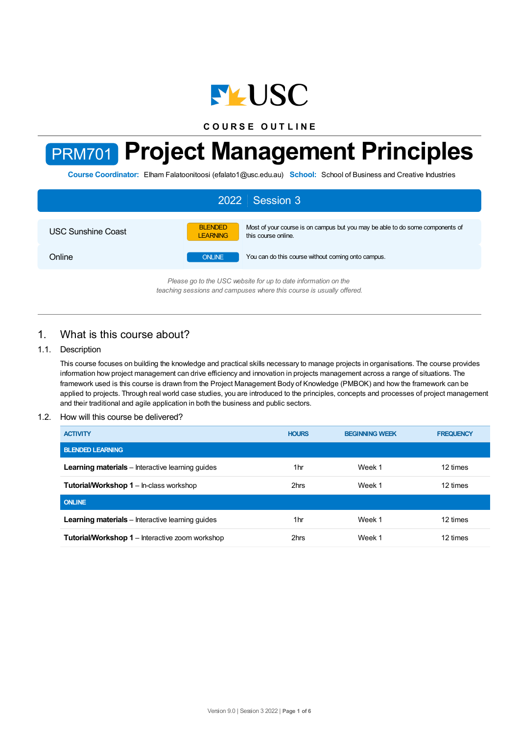

**C O U R S E O U T L I N E**

# PRM701 **Project Management Principles**

**Course Coordinator:** Elham Falatoonitoosi (efalato1@usc.edu.au) **School:** School of Business and Creative Industries

| 2022 Session 3                                                 |                                   |                                                                                                      |  |  |  |
|----------------------------------------------------------------|-----------------------------------|------------------------------------------------------------------------------------------------------|--|--|--|
| <b>USC Sunshine Coast</b>                                      | <b>BLENDED</b><br><b>LEARNING</b> | Most of your course is on campus but you may be able to do some components of<br>this course online. |  |  |  |
| Online                                                         | <b>ONLINE</b>                     | You can do this course without coming onto campus.                                                   |  |  |  |
| Please an to the USC uphsite for un to date information on the |                                   |                                                                                                      |  |  |  |

*Please go to the USC website for up to date information on the teaching sessions and campuses where this course is usually offered.*

# 1. What is this course about?

# 1.1. Description

This course focuses on building the knowledge and practical skills necessary to manage projects in organisations. The course provides information how project management can drive efficiency and innovation in projects management across a range of situations. The framework used is this course is drawn from the Project Management Body of Knowledge (PMBOK) and how the framework can be applied to projects. Through real world case studies, you are introduced to the principles, concepts and processes of project management and their traditional and agile application in both the business and public sectors.

# 1.2. How will this course be delivered?

| <b>ACTIVITY</b>                                         | <b>HOURS</b>    | <b>BEGINNING WEEK</b> | <b>FREQUENCY</b> |
|---------------------------------------------------------|-----------------|-----------------------|------------------|
| <b>BLENDED LEARNING</b>                                 |                 |                       |                  |
| <b>Learning materials</b> – Interactive learning guides | 1 <sub>hr</sub> | Week 1                | 12 times         |
| <b>Tutorial/Workshop 1 – In-class workshop</b>          | 2hrs            | Week 1                | 12 times         |
| <b>ONLINE</b>                                           |                 |                       |                  |
| <b>Learning materials</b> – Interactive learning quides | 1hr             | Week 1                | 12 times         |
| <b>Tutorial/Workshop 1</b> – Interactive zoom workshop  | 2hrs            | Week 1                | 12 times         |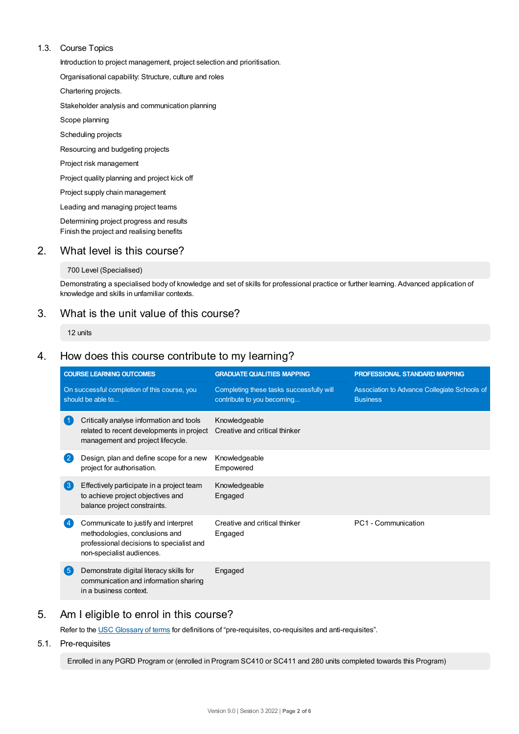# 1.3. Course Topics

Introduction to project management, project selection and prioritisation.

Organisational capability: Structure, culture and roles

Chartering projects.

Stakeholder analysis and communication planning

Scope planning

Scheduling projects

Resourcing and budgeting projects

Project risk management

Project quality planning and project kick off

Project supply chain management

Leading and managing project teams

Determining project progress and results Finish the project and realising benefits

# 2. What level is this course?

## 700 Level (Specialised)

Demonstrating a specialised body of knowledge and set of skills for professional practice or further learning. Advanced application of knowledge and skills in unfamiliar contexts.

# 3. What is the unit value of this course?

12 units

# 4. How does this course contribute to my learning?

| <b>COURSE LEARNING OUTCOMES</b>                                   |                                                                                                                                                 | <b>GRADUATE QUALITIES MAPPING</b>                                      | PROFESSIONAL STANDARD MAPPING                                   |  |
|-------------------------------------------------------------------|-------------------------------------------------------------------------------------------------------------------------------------------------|------------------------------------------------------------------------|-----------------------------------------------------------------|--|
| On successful completion of this course, you<br>should be able to |                                                                                                                                                 | Completing these tasks successfully will<br>contribute to you becoming | Association to Advance Collegiate Schools of<br><b>Business</b> |  |
|                                                                   | Critically analyse information and tools<br>related to recent developments in project<br>management and project lifecycle.                      | Knowledgeable<br>Creative and critical thinker                         |                                                                 |  |
| $\overline{2}$                                                    | Design, plan and define scope for a new<br>project for authorisation.                                                                           | Knowledgeable<br>Empowered                                             |                                                                 |  |
| $\left(3\right)$                                                  | Effectively participate in a project team<br>to achieve project objectives and<br>balance project constraints.                                  | Knowledgeable<br>Engaged                                               |                                                                 |  |
|                                                                   | Communicate to justify and interpret<br>methodologies, conclusions and<br>professional decisions to specialist and<br>non-specialist audiences. | Creative and critical thinker<br>Engaged                               | PC1 - Communication                                             |  |
| (5)                                                               | Demonstrate digital literacy skills for<br>communication and information sharing<br>in a business context.                                      | Engaged                                                                |                                                                 |  |

# 5. Am Ieligible to enrol in this course?

Refer to the USC [Glossary](https://www.usc.edu.au/about/policies-and-procedures/glossary-of-terms-for-policy-and-procedures) of terms for definitions of "pre-requisites, co-requisites and anti-requisites".

5.1. Pre-requisites

Enrolled in any PGRD Program or (enrolled in Program SC410 or SC411 and 280 units completed towards this Program)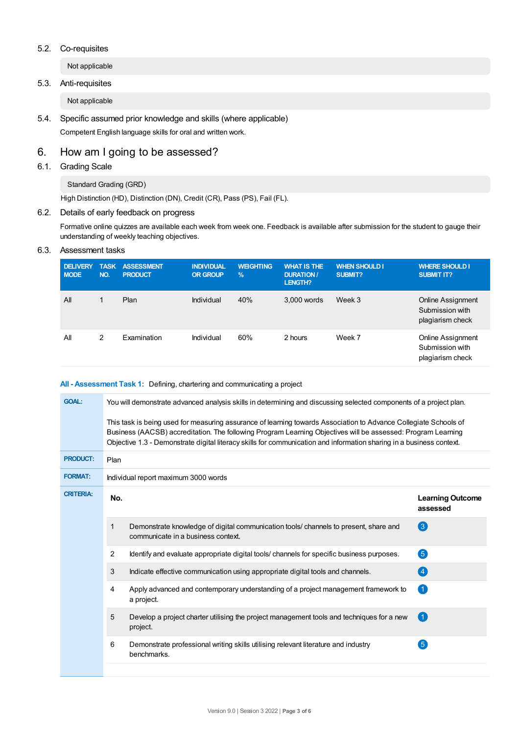## 5.2. Co-requisites

Not applicable

# 5.3. Anti-requisites

Not applicable

5.4. Specific assumed prior knowledge and skills (where applicable) Competent English language skills for oral and written work.

# 6. How am Igoing to be assessed?

# 6.1. Grading Scale

## Standard Grading (GRD)

High Distinction (HD), Distinction (DN), Credit (CR), Pass (PS), Fail (FL).

# 6.2. Details of early feedback on progress

Formative online quizzes are available each week from week one. Feedback is available after submission for the student to gauge their understanding of weekly teaching objectives.

# 6.3. Assessment tasks

| <b>DELIVERY</b><br><b>MODE</b> | <b>TASK</b><br>NO. | <b>ASSESSMENT</b><br><b>PRODUCT</b> | <b>INDIVIDUAL</b><br><b>OR GROUP</b> | <b>WEIGHTING</b><br>$\%$ | <b>WHAT IS THE</b><br><b>DURATION /</b><br>LENGTH? | <b>WHEN SHOULD I</b><br><b>SUBMIT?</b> | <b>WHERE SHOULD I</b><br><b>SUBMIT IT?</b>               |
|--------------------------------|--------------------|-------------------------------------|--------------------------------------|--------------------------|----------------------------------------------------|----------------------------------------|----------------------------------------------------------|
| All                            | 1                  | Plan                                | Individual                           | 40%                      | 3,000 words                                        | Week 3                                 | Online Assignment<br>Submission with<br>plagiarism check |
| All                            | 2                  | Examination                         | Individual                           | 60%                      | 2 hours                                            | Week 7                                 | Online Assignment<br>Submission with<br>plagiarism check |

## **All - Assessment Task 1:** Defining, chartering and communicating a project

| <b>GOAL:</b>     | You will demonstrate advanced analysis skills in determining and discussing selected components of a project plan.<br>This task is being used for measuring assurance of learning towards Association to Advance Collegiate Schools of<br>Business (AACSB) accreditation. The following Program Learning Objectives will be assessed: Program Learning<br>Objective 1.3 - Demonstrate digital literacy skills for communication and information sharing in a business context. |                                                                                                                            |                                     |  |  |  |  |
|------------------|--------------------------------------------------------------------------------------------------------------------------------------------------------------------------------------------------------------------------------------------------------------------------------------------------------------------------------------------------------------------------------------------------------------------------------------------------------------------------------|----------------------------------------------------------------------------------------------------------------------------|-------------------------------------|--|--|--|--|
| <b>PRODUCT:</b>  | Plan                                                                                                                                                                                                                                                                                                                                                                                                                                                                           |                                                                                                                            |                                     |  |  |  |  |
| <b>FORMAT:</b>   | Individual report maximum 3000 words                                                                                                                                                                                                                                                                                                                                                                                                                                           |                                                                                                                            |                                     |  |  |  |  |
| <b>CRITERIA:</b> | No.                                                                                                                                                                                                                                                                                                                                                                                                                                                                            |                                                                                                                            | <b>Learning Outcome</b><br>assessed |  |  |  |  |
|                  | 1                                                                                                                                                                                                                                                                                                                                                                                                                                                                              | Demonstrate knowledge of digital communication tools/ channels to present, share and<br>communicate in a business context. | 3                                   |  |  |  |  |
|                  | 2                                                                                                                                                                                                                                                                                                                                                                                                                                                                              | Identify and evaluate appropriate digital tools/ channels for specific business purposes.                                  | 6                                   |  |  |  |  |
|                  | 3                                                                                                                                                                                                                                                                                                                                                                                                                                                                              | Indicate effective communication using appropriate digital tools and channels.                                             | $\left[ 4\right]$                   |  |  |  |  |
|                  | 4                                                                                                                                                                                                                                                                                                                                                                                                                                                                              | Apply advanced and contemporary understanding of a project management framework to<br>a project.                           | $\vert$ 1                           |  |  |  |  |
|                  | 5                                                                                                                                                                                                                                                                                                                                                                                                                                                                              | Develop a project charter utilising the project management tools and techniques for a new<br>project.                      | $\vert$ 1                           |  |  |  |  |
|                  | 6                                                                                                                                                                                                                                                                                                                                                                                                                                                                              | Demonstrate professional writing skills utilising relevant literature and industry<br>benchmarks.                          | $\sqrt{5}$                          |  |  |  |  |
|                  |                                                                                                                                                                                                                                                                                                                                                                                                                                                                                |                                                                                                                            |                                     |  |  |  |  |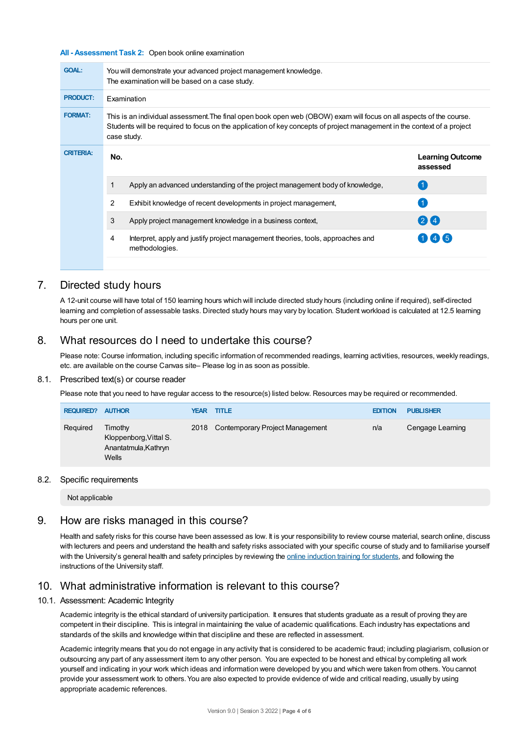#### **All - Assessment Task 2:** Open book online examination

| <b>GOAL:</b>     | You will demonstrate your advanced project management knowledge.<br>The examination will be based on a case study.                                                                                                                                            |                                                                                                   |                                     |  |  |  |
|------------------|---------------------------------------------------------------------------------------------------------------------------------------------------------------------------------------------------------------------------------------------------------------|---------------------------------------------------------------------------------------------------|-------------------------------------|--|--|--|
| <b>PRODUCT:</b>  | <b>Examination</b>                                                                                                                                                                                                                                            |                                                                                                   |                                     |  |  |  |
| <b>FORMAT:</b>   | This is an individual assessment. The final open book open web (OBOW) exam will focus on all aspects of the course.<br>Students will be required to focus on the application of key concepts of project management in the context of a project<br>case study. |                                                                                                   |                                     |  |  |  |
| <b>CRITERIA:</b> | No.                                                                                                                                                                                                                                                           |                                                                                                   | <b>Learning Outcome</b><br>assessed |  |  |  |
|                  |                                                                                                                                                                                                                                                               | Apply an advanced understanding of the project management body of knowledge,                      | (1)                                 |  |  |  |
|                  | 2                                                                                                                                                                                                                                                             | Exhibit knowledge of recent developments in project management,                                   |                                     |  |  |  |
|                  | 3                                                                                                                                                                                                                                                             | Apply project management knowledge in a business context,                                         | 24                                  |  |  |  |
|                  | 4                                                                                                                                                                                                                                                             | Interpret, apply and justify project management theories, tools, approaches and<br>methodologies. | 146                                 |  |  |  |
|                  |                                                                                                                                                                                                                                                               |                                                                                                   |                                     |  |  |  |

# 7. Directed study hours

A 12-unit course will have total of 150 learning hours which will include directed study hours (including online if required), self-directed learning and completion of assessable tasks. Directed study hours may vary by location. Student workload is calculated at 12.5 learning hours per one unit.

# 8. What resources do I need to undertake this course?

Please note: Course information, including specific information of recommended readings, learning activities, resources, weekly readings, etc. are available on the course Canvas site– Please log in as soon as possible.

### 8.1. Prescribed text(s) or course reader

Please note that you need to have regular access to the resource(s) listed below. Resources may be required or recommended.

| <b>REQUIRED?</b> | <b>AUTHOR</b>                                                      | <b>YEAR</b> | <b>TITLE</b>                    | <b>EDITION</b> | <b>PUBLISHER</b> |
|------------------|--------------------------------------------------------------------|-------------|---------------------------------|----------------|------------------|
| Required         | Timothy<br>Kloppenborg, Vittal S.<br>Anantatmula, Kathryn<br>Wells | 2018        | Contemporary Project Management | n/a            | Cengage Learning |

#### 8.2. Specific requirements

Not applicable

# 9. How are risks managed in this course?

Health and safety risks for this course have been assessed as low. It is your responsibility to review course material, search online, discuss with lecturers and peers and understand the health and safety risks associated with your specific course of study and to familiarise yourself with the University's general health and safety principles by reviewing the online [induction](https://online.usc.edu.au/webapps/blackboard/content/listContentEditable.jsp?content_id=_632657_1&course_id=_14432_1) training for students, and following the instructions of the University staff.

# 10. What administrative information is relevant to this course?

### 10.1. Assessment: Academic Integrity

Academic integrity is the ethical standard of university participation. It ensures that students graduate as a result of proving they are competent in their discipline. This is integral in maintaining the value of academic qualifications. Each industry has expectations and standards of the skills and knowledge within that discipline and these are reflected in assessment.

Academic integrity means that you do not engage in any activity that is considered to be academic fraud; including plagiarism, collusion or outsourcing any part of any assessment item to any other person. You are expected to be honest and ethical by completing all work yourself and indicating in your work which ideas and information were developed by you and which were taken from others. You cannot provide your assessment work to others.You are also expected to provide evidence of wide and critical reading, usually by using appropriate academic references.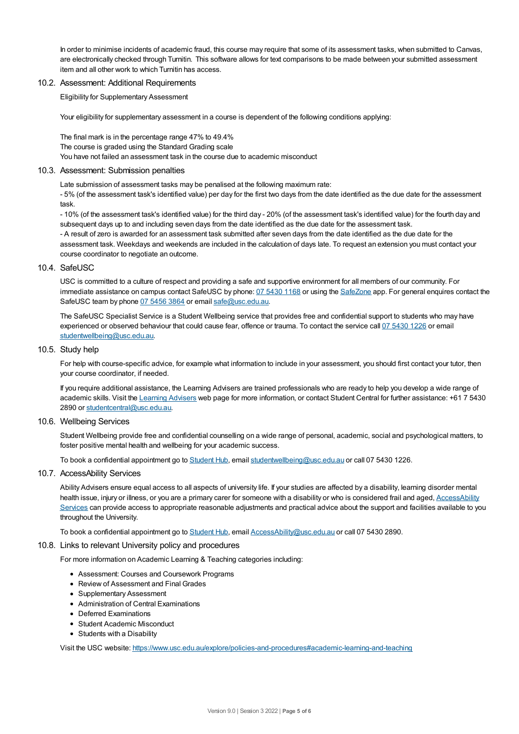In order to minimise incidents of academic fraud, this course may require that some of its assessment tasks, when submitted to Canvas, are electronically checked through Turnitin. This software allows for text comparisons to be made between your submitted assessment item and all other work to which Turnitin has access.

#### 10.2. Assessment: Additional Requirements

Eligibility for Supplementary Assessment

Your eligibility for supplementary assessment in a course is dependent of the following conditions applying:

The final mark is in the percentage range 47% to 49.4% The course is graded using the Standard Grading scale You have not failed an assessment task in the course due to academic misconduct

#### 10.3. Assessment: Submission penalties

Late submission of assessment tasks may be penalised at the following maximum rate:

- 5% (of the assessment task's identified value) per day for the first two days from the date identified as the due date for the assessment task.

- 10% (of the assessment task's identified value) for the third day - 20% (of the assessment task's identified value) for the fourth day and subsequent days up to and including seven days from the date identified as the due date for the assessment task.

- A result of zero is awarded for an assessment task submitted after seven days from the date identified as the due date for the assessment task. Weekdays and weekends are included in the calculation of days late. To request an extension you must contact your course coordinator to negotiate an outcome.

### 10.4. SafeUSC

USC is committed to a culture of respect and providing a safe and supportive environment for all members of our community. For immediate assistance on campus contact SafeUSC by phone: 07 [5430](tel:07%205430%201168) 1168 or using the [SafeZone](https://www.safezoneapp.com) app. For general enquires contact the SafeUSC team by phone 07 [5456](tel:07%205456%203864) 3864 or email [safe@usc.edu.au](mailto:safe@usc.edu.au).

The SafeUSC Specialist Service is a Student Wellbeing service that provides free and confidential support to students who may have experienced or observed behaviour that could cause fear, offence or trauma. To contact the service call 07 [5430](tel:07%205430%201226) 1226 or email [studentwellbeing@usc.edu.au](mailto:studentwellbeing@usc.edu.au).

## 10.5. Study help

For help with course-specific advice, for example what information to include in your assessment, you should first contact your tutor, then your course coordinator, if needed.

If you require additional assistance, the Learning Advisers are trained professionals who are ready to help you develop a wide range of academic skills. Visit the Learning [Advisers](https://www.usc.edu.au/current-students/student-support/academic-and-study-support/learning-advisers) web page for more information, or contact Student Central for further assistance: +61 7 5430 2890 or [studentcentral@usc.edu.au](mailto:studentcentral@usc.edu.au).

### 10.6. Wellbeing Services

Student Wellbeing provide free and confidential counselling on a wide range of personal, academic, social and psychological matters, to foster positive mental health and wellbeing for your academic success.

To book a confidential appointment go to [Student](https://studenthub.usc.edu.au/) Hub, email [studentwellbeing@usc.edu.au](mailto:studentwellbeing@usc.edu.au) or call 07 5430 1226.

### 10.7. AccessAbility Services

Ability Advisers ensure equal access to all aspects of university life. If your studies are affected by a disability, learning disorder mental health issue, injury or illness, or you are a primary carer for someone with a disability or who is considered frail and aged, [AccessAbility](https://www.usc.edu.au/learn/student-support/accessability-services/documentation-requirements) Services can provide access to appropriate reasonable adjustments and practical advice about the support and facilities available to you throughout the University.

To book a confidential appointment go to [Student](https://studenthub.usc.edu.au/) Hub, email [AccessAbility@usc.edu.au](mailto:AccessAbility@usc.edu.au) or call 07 5430 2890.

### 10.8. Links to relevant University policy and procedures

For more information on Academic Learning & Teaching categories including:

- Assessment: Courses and Coursework Programs
- Review of Assessment and Final Grades
- Supplementary Assessment
- Administration of Central Examinations
- Deferred Examinations
- Student Academic Misconduct
- Students with a Disability

Visit the USC website: <https://www.usc.edu.au/explore/policies-and-procedures#academic-learning-and-teaching>